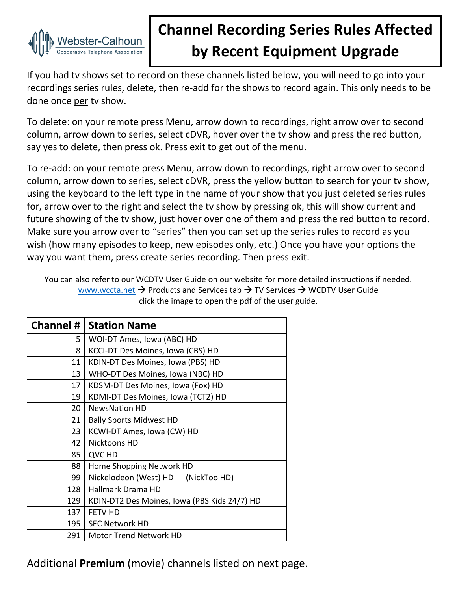

## **Channel Recording Series Rules Affected by Recent Equipment Upgrade**

If you had tv shows set to record on these channels listed below, you will need to go into your recordings series rules, delete, then re-add for the shows to record again. This only needs to be done once per tv show.

To delete: on your remote press Menu, arrow down to recordings, right arrow over to second column, arrow down to series, select cDVR, hover over the tv show and press the red button, say yes to delete, then press ok. Press exit to get out of the menu.

To re-add: on your remote press Menu, arrow down to recordings, right arrow over to second column, arrow down to series, select cDVR, press the yellow button to search for your tv show, using the keyboard to the left type in the name of your show that you just deleted series rules for, arrow over to the right and select the tv show by pressing ok, this will show current and future showing of the tv show, just hover over one of them and press the red button to record. Make sure you arrow over to "series" then you can set up the series rules to record as you wish (how many episodes to keep, new episodes only, etc.) Once you have your options the way you want them, press create series recording. Then press exit.

You can also refer to our WCDTV User Guide on our website for more detailed instructions if needed. [www.wccta.net](http://www.wccta.net/)  $\rightarrow$  Products and Services tab  $\rightarrow$  TV Services  $\rightarrow$  WCDTV User Guide click the image to open the pdf of the user guide.

|     | <b>Channel #   Station Name</b>              |
|-----|----------------------------------------------|
| 5.  | WOI-DT Ames, Iowa (ABC) HD                   |
| 8   | KCCI-DT Des Moines, Iowa (CBS) HD            |
| 11  | KDIN-DT Des Moines, Iowa (PBS) HD            |
| 13  | WHO-DT Des Moines, Iowa (NBC) HD             |
| 17  | KDSM-DT Des Moines, Iowa (Fox) HD            |
| 19  | KDMI-DT Des Moines, Iowa (TCT2) HD           |
| 20  | <b>NewsNation HD</b>                         |
| 21  | <b>Bally Sports Midwest HD</b>               |
| 23  | KCWI-DT Ames, Iowa (CW) HD                   |
| 42  | Nicktoons HD                                 |
| 85  | QVC HD                                       |
| 88  | Home Shopping Network HD                     |
| 99  | Nickelodeon (West) HD<br>(NickToo HD)        |
| 128 | Hallmark Drama HD                            |
| 129 | KDIN-DT2 Des Moines, Iowa (PBS Kids 24/7) HD |
| 137 | <b>FETV HD</b>                               |
| 195 | <b>SEC Network HD</b>                        |
| 291 | <b>Motor Trend Network HD</b>                |

Additional **Premium** (movie) channels listed on next page.